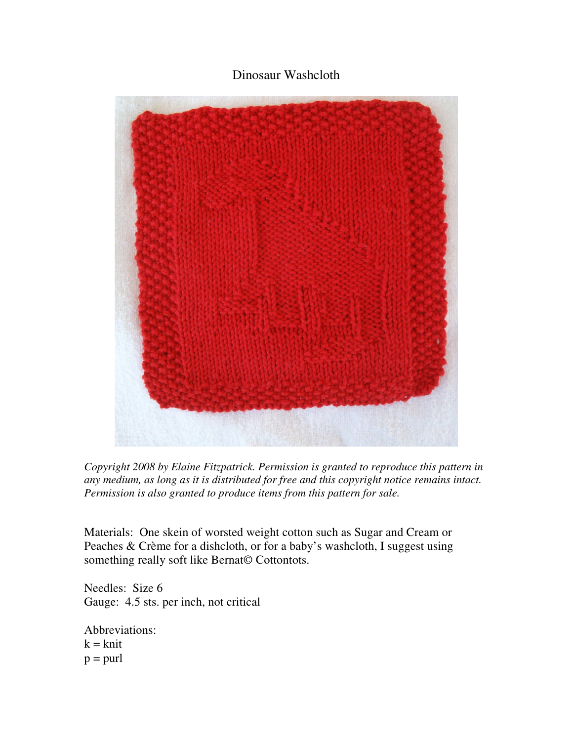## Dinosaur Washcloth



*Copyright 2008 by Elaine Fitzpatrick. Permission is granted to reproduce this pattern in any medium, as long as it is distributed for free and this copyright notice remains intact. Permission is also granted to produce items from this pattern for sale.* 

Materials: One skein of worsted weight cotton such as Sugar and Cream or Peaches & Crème for a dishcloth, or for a baby's washcloth, I suggest using something really soft like Bernat© Cottontots.

Needles: Size 6 Gauge: 4.5 sts. per inch, not critical

Abbreviations:  $k = k$ nit  $p =$ purl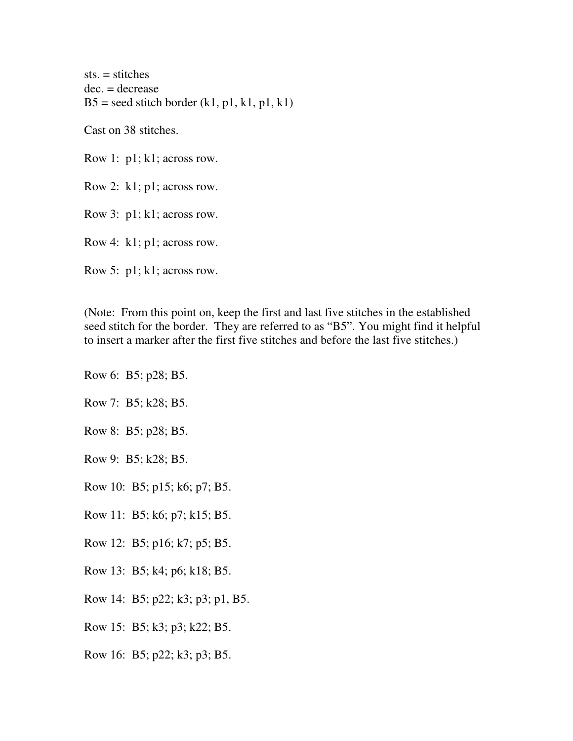sts. = stitches dec. = decrease  $B5 =$  seed stitch border (k1, p1, k1, p1, k1)

Cast on 38 stitches.

Row 1: p1; k1; across row.

Row 2: k1; p1; across row.

Row 3: p1; k1; across row.

Row 4: k1; p1; across row.

Row 5: p1; k1; across row.

(Note: From this point on, keep the first and last five stitches in the established seed stitch for the border. They are referred to as "B5". You might find it helpful to insert a marker after the first five stitches and before the last five stitches.)

- Row 6: B5; p28; B5.
- Row 7: B5; k28; B5.
- Row 8: B5; p28; B5.
- Row 9: B5; k28; B5.
- Row 10: B5; p15; k6; p7; B5.
- Row 11: B5; k6; p7; k15; B5.
- Row 12: B5; p16; k7; p5; B5.
- Row 13: B5; k4; p6; k18; B5.
- Row 14: B5; p22; k3; p3; p1, B5.
- Row 15: B5; k3; p3; k22; B5.
- Row 16: B5; p22; k3; p3; B5.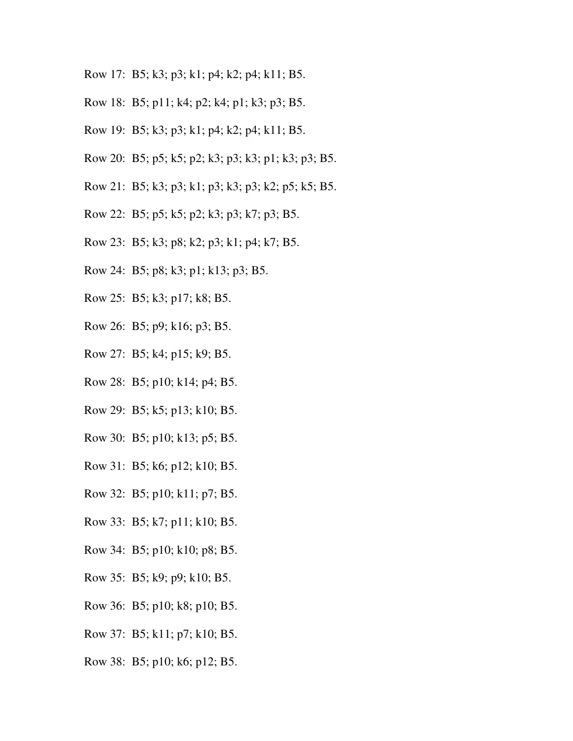- Row 17: B5; k3; p3; k1; p4; k2; p4; k11; B5.
- Row 18: B5; p11; k4; p2; k4; p1; k3; p3; B5.
- Row 19: B5; k3; p3; k1; p4; k2; p4; k11; B5.
- Row 20: B5; p5; k5; p2; k3; p3; k3; p1; k3; p3; B5.
- Row 21: B5; k3; p3; k1; p3; k3; p3; k2; p5; k5; B5.
- Row 22: B5; p5; k5; p2; k3; p3; k7; p3; B5.
- Row 23: B5; k3; p8; k2; p3; k1; p4; k7; B5.
- Row 24: B5; p8; k3; p1; k13; p3; B5.
- Row 25: B5; k3; p17; k8; B5.
- Row 26: B5; p9; k16; p3; B5.
- Row 27: B5; k4; p15; k9; B5.
- Row 28: B5; p10; k14; p4; B5.
- Row 29: B5; k5; p13; k10; B5.
- Row 30: B5; p10; k13; p5; B5.
- Row 31: B5; k6; p12; k10; B5.
- Row 32: B5; p10; k11; p7; B5.
- Row 33: B5; k7; p11; k10; B5.
- Row 34: B5; p10; k10; p8; B5.
- Row 35: B5; k9; p9; k10; B5.
- Row 36: B5; p10; k8; p10; B5.
- Row 37: B5; k11; p7; k10; B5.
- Row 38: B5; p10; k6; p12; B5.